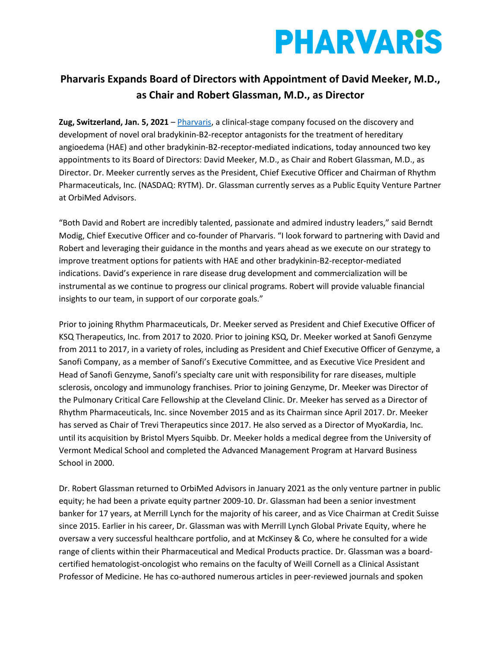# **PHARVARIS**

### **Pharvaris Expands Board of Directors with Appointment of David Meeker, M.D., as Chair and Robert Glassman, M.D., as Director**

**Zug, Switzerland, Jan. 5, 2021** – [Pharvaris,](https://pharvaris.com/) a clinical-stage company focused on the discovery and development of novel oral bradykinin-B2-receptor antagonists for the treatment of hereditary angioedema (HAE) and other bradykinin-B2-receptor-mediated indications, today announced two key appointments to its Board of Directors: David Meeker, M.D., as Chair and Robert Glassman, M.D., as Director. Dr. Meeker currently serves as the President, Chief Executive Officer and Chairman of Rhythm Pharmaceuticals, Inc. (NASDAQ: RYTM). Dr. Glassman currently serves as a Public Equity Venture Partner at OrbiMed Advisors.

"Both David and Robert are incredibly talented, passionate and admired industry leaders," said Berndt Modig, Chief Executive Officer and co-founder of Pharvaris. "I look forward to partnering with David and Robert and leveraging their guidance in the months and years ahead as we execute on our strategy to improve treatment options for patients with HAE and other bradykinin-B2-receptor-mediated indications. David's experience in rare disease drug development and commercialization will be instrumental as we continue to progress our clinical programs. Robert will provide valuable financial insights to our team, in support of our corporate goals."

Prior to joining Rhythm Pharmaceuticals, Dr. Meeker served as President and Chief Executive Officer of KSQ Therapeutics, Inc. from 2017 to 2020. Prior to joining KSQ, Dr. Meeker worked at Sanofi Genzyme from 2011 to 2017, in a variety of roles, including as President and Chief Executive Officer of Genzyme, a Sanofi Company, as a member of Sanofi's Executive Committee, and as Executive Vice President and Head of Sanofi Genzyme, Sanofi's specialty care unit with responsibility for rare diseases, multiple sclerosis, oncology and immunology franchises. Prior to joining Genzyme, Dr. Meeker was Director of the Pulmonary Critical Care Fellowship at the Cleveland Clinic. Dr. Meeker has served as a Director of Rhythm Pharmaceuticals, Inc. since November 2015 and as its Chairman since April 2017. Dr. Meeker has served as Chair of Trevi Therapeutics since 2017. He also served as a Director of MyoKardia, Inc. until its acquisition by Bristol Myers Squibb. Dr. Meeker holds a medical degree from the University of Vermont Medical School and completed the Advanced Management Program at Harvard Business School in 2000.

Dr. Robert Glassman returned to OrbiMed Advisors in January 2021 as the only venture partner in public equity; he had been a private equity partner 2009-10. Dr. Glassman had been a senior investment banker for 17 years, at Merrill Lynch for the majority of his career, and as Vice Chairman at Credit Suisse since 2015. Earlier in his career, Dr. Glassman was with Merrill Lynch Global Private Equity, where he oversaw a very successful healthcare portfolio, and at McKinsey & Co, where he consulted for a wide range of clients within their Pharmaceutical and Medical Products practice. Dr. Glassman was a boardcertified hematologist-oncologist who remains on the faculty of Weill Cornell as a Clinical Assistant Professor of Medicine. He has co-authored numerous articles in peer-reviewed journals and spoken